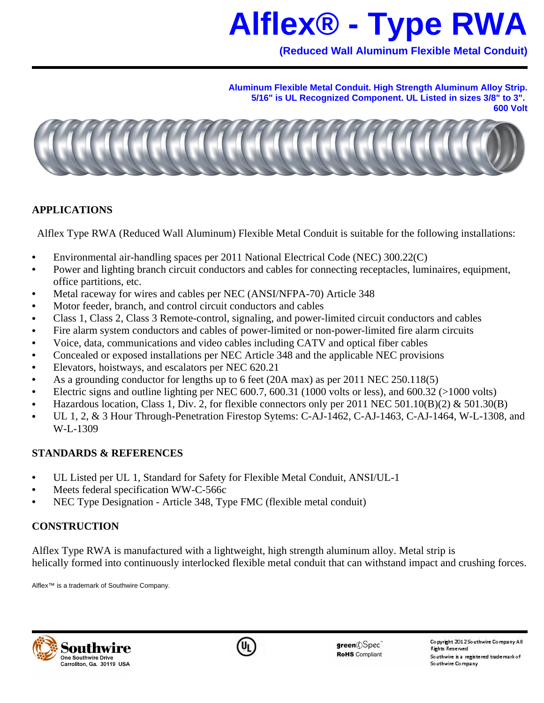# **Alflex® - Type RWA**

**(Reduced Wall Aluminum Flexible Metal Conduit)**

**Aluminum Flexible Metal Conduit. High Strength Aluminum Alloy Strip. 5/16" is UL Recognized Component. UL Listed in sizes 3/8" to 3". 600 Volt**



### **APPLICATIONS**

Alflex Type RWA (Reduced Wall Aluminum) Flexible Metal Conduit is suitable for the following installations:

- Environmental air-handling spaces per 2011 National Electrical Code (NEC) 300.22(C)
- Power and lighting branch circuit conductors and cables for connecting receptacles, luminaires, equipment, office partitions, etc.
- Metal raceway for wires and cables per NEC (ANSI/NFPA-70) Article 348
- Motor feeder, branch, and control circuit conductors and cables
- Class 1, Class 2, Class 3 Remote-control, signaling, and power-limited circuit conductors and cables
- Fire alarm system conductors and cables of power-limited or non-power-limited fire alarm circuits
- Voice, data, communications and video cables including CATV and optical fiber cables
- Concealed or exposed installations per NEC Article 348 and the applicable NEC provisions
- Elevators, hoistways, and escalators per NEC 620.21
- As a grounding conductor for lengths up to 6 feet (20A max) as per 2011 NEC 250.118(5)
- Electric signs and outline lighting per NEC  $600.7$ ,  $600.31$  (1000 volts or less), and  $600.32$  ( $>1000$  volts)
- Hazardous location, Class 1, Div. 2, for flexible connectors only per 2011 NEC 501.10(B)(2)  $\&$  501.30(B)
- UL 1, 2, & 3 Hour Through-Penetration Firestop Sytems: C-AJ-1462, C-AJ-1463, C-AJ-1464, W-L-1308, and W-L-1309

## **STANDARDS & REFERENCES**

- UL Listed per UL 1, Standard for Safety for Flexible Metal Conduit, ANSI/UL-1
- Meets federal specification WW-C-566c
- NEC Type Designation Article 348, Type FMC (flexible metal conduit)

## **CONSTRUCTION**

Alflex Type RWA is manufactured with a lightweight, high strength aluminum alloy. Metal strip is helically formed into continuously interlocked flexible metal conduit that can withstand impact and crushing forces.

Alflex™ is a trademark of Southwire Company.